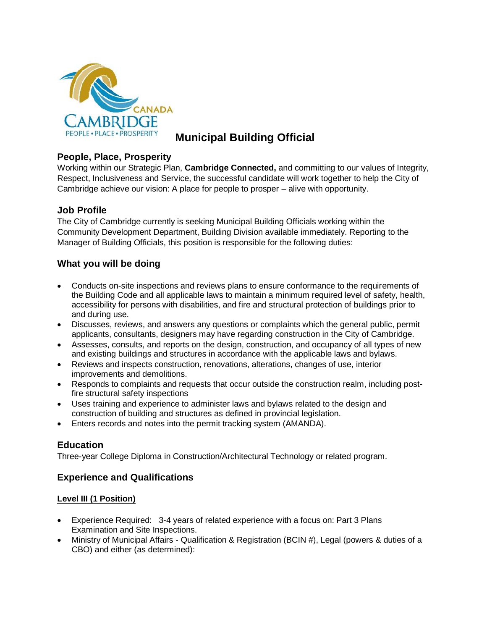

# **Municipal Building Official**

# **People, Place, Prosperity**

Working within our Strategic Plan, **Cambridge Connected,** and committing to our values of Integrity, Respect, Inclusiveness and Service, the successful candidate will work together to help the City of Cambridge achieve our vision: A place for people to prosper – alive with opportunity.

# **Job Profile**

The City of Cambridge currently is seeking Municipal Building Officials working within the Community Development Department, Building Division available immediately. Reporting to the Manager of Building Officials, this position is responsible for the following duties:

# **What you will be doing**

- Conducts on-site inspections and reviews plans to ensure conformance to the requirements of the Building Code and all applicable laws to maintain a minimum required level of safety, health, accessibility for persons with disabilities, and fire and structural protection of buildings prior to and during use.
- Discusses, reviews, and answers any questions or complaints which the general public, permit applicants, consultants, designers may have regarding construction in the City of Cambridge.
- Assesses, consults, and reports on the design, construction, and occupancy of all types of new and existing buildings and structures in accordance with the applicable laws and bylaws.
- Reviews and inspects construction, renovations, alterations, changes of use, interior improvements and demolitions.
- Responds to complaints and requests that occur outside the construction realm, including postfire structural safety inspections
- Uses training and experience to administer laws and bylaws related to the design and construction of building and structures as defined in provincial legislation.
- Enters records and notes into the permit tracking system (AMANDA).

# **Education**

Three-year College Diploma in Construction/Architectural Technology or related program.

# **Experience and Qualifications**

#### **Level III (1 Position)**

- Experience Required: 3-4 years of related experience with a focus on: Part 3 Plans Examination and Site Inspections.
- Ministry of Municipal Affairs Qualification & Registration (BCIN #), Legal (powers & duties of a CBO) and either (as determined):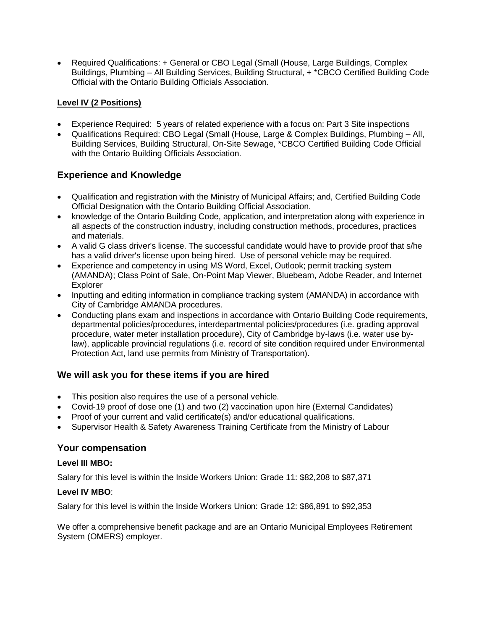• Required Qualifications: + General or CBO Legal (Small (House, Large Buildings, Complex Buildings, Plumbing – All Building Services, Building Structural, + \*CBCO Certified Building Code Official with the Ontario Building Officials Association.

### **Level IV (2 Positions)**

- Experience Required: 5 years of related experience with a focus on: Part 3 Site inspections
- Qualifications Required: CBO Legal (Small (House, Large & Complex Buildings, Plumbing All, Building Services, Building Structural, On-Site Sewage, \*CBCO Certified Building Code Official with the Ontario Building Officials Association.

# **Experience and Knowledge**

- Qualification and registration with the Ministry of Municipal Affairs; and, Certified Building Code Official Designation with the Ontario Building Official Association.
- knowledge of the Ontario Building Code, application, and interpretation along with experience in all aspects of the construction industry, including construction methods, procedures, practices and materials.
- A valid G class driver's license. The successful candidate would have to provide proof that s/he has a valid driver's license upon being hired. Use of personal vehicle may be required.
- Experience and competency in using MS Word, Excel, Outlook; permit tracking system (AMANDA); Class Point of Sale, On-Point Map Viewer, Bluebeam, Adobe Reader, and Internet Explorer
- Inputting and editing information in compliance tracking system (AMANDA) in accordance with City of Cambridge AMANDA procedures.
- Conducting plans exam and inspections in accordance with Ontario Building Code requirements, departmental policies/procedures, interdepartmental policies/procedures (i.e. grading approval procedure, water meter installation procedure), City of Cambridge by-laws (i.e. water use bylaw), applicable provincial regulations (i.e. record of site condition required under Environmental Protection Act, land use permits from Ministry of Transportation).

# **We will ask you for these items if you are hired**

- This position also requires the use of a personal vehicle.
- Covid-19 proof of dose one (1) and two (2) vaccination upon hire (External Candidates)
- Proof of your current and valid certificate(s) and/or educational qualifications.
- Supervisor Health & Safety Awareness Training Certificate from the Ministry of Labour

#### **Your compensation**

#### **Level III MBO:**

Salary for this level is within the Inside Workers Union: Grade 11: \$82,208 to \$87,371

#### **Level IV MBO**:

Salary for this level is within the Inside Workers Union: Grade 12: \$86,891 to \$92,353

We offer a comprehensive benefit package and are an Ontario Municipal Employees Retirement System (OMERS) employer.